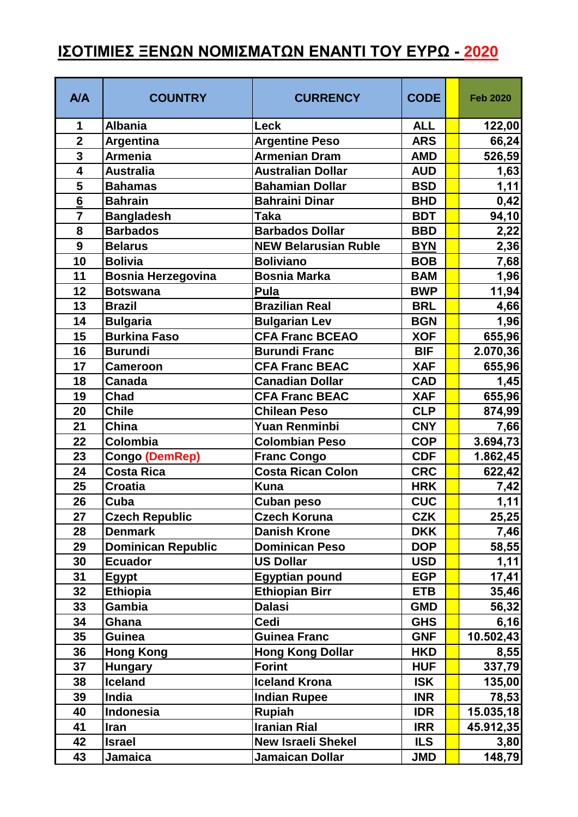## **ΙΣΟΤΙΜΙΕΣ ΞΕΝΩΝ ΝΟΜΙΣΜΑΤΩΝ ΕΝΑΝΤΙ ΤΟΥ ΕΥΡΩ - 2020**

| <b>A/A</b>              | <b>COUNTRY</b>            | <b>CURRENCY</b>             | <b>CODE</b> | <b>Feb 2020</b> |
|-------------------------|---------------------------|-----------------------------|-------------|-----------------|
| 1                       | <b>Albania</b>            | Leck                        | <b>ALL</b>  | 122,00          |
| $\overline{2}$          | Argentina                 | <b>Argentine Peso</b>       | <b>ARS</b>  | 66,24           |
| $\overline{\mathbf{3}}$ | <b>Armenia</b>            | <b>Armenian Dram</b>        | <b>AMD</b>  | 526,59          |
| 4                       | <b>Australia</b>          | <b>Australian Dollar</b>    | <b>AUD</b>  | 1,63            |
| 5                       | <b>Bahamas</b>            | <b>Bahamian Dollar</b>      | <b>BSD</b>  | 1,11            |
| $6\overline{6}$         | <b>Bahrain</b>            | <b>Bahraini Dinar</b>       | <b>BHD</b>  | 0,42            |
| $\overline{7}$          | <b>Bangladesh</b>         | <b>Taka</b>                 | <b>BDT</b>  | 94,10           |
| 8                       | <b>Barbados</b>           | <b>Barbados Dollar</b>      | <b>BBD</b>  | 2,22            |
| 9                       | <b>Belarus</b>            | <b>NEW Belarusian Ruble</b> | <b>BYN</b>  | 2,36            |
| 10                      | <b>Bolivia</b>            | <b>Boliviano</b>            | <b>BOB</b>  | 7,68            |
| 11                      | <b>Bosnia Herzegovina</b> | <b>Bosnia Marka</b>         | <b>BAM</b>  | 1,96            |
| 12                      | <b>Botswana</b>           | Pula                        | <b>BWP</b>  | 11,94           |
| 13                      | <b>Brazil</b>             | <b>Brazilian Real</b>       | <b>BRL</b>  | 4,66            |
| 14                      | <b>Bulgaria</b>           | <b>Bulgarian Lev</b>        | <b>BGN</b>  | 1,96            |
| 15                      | <b>Burkina Faso</b>       | <b>CFA Franc BCEAO</b>      | <b>XOF</b>  | 655,96          |
| 16                      | <b>Burundi</b>            | <b>Burundi Franc</b>        | <b>BIF</b>  | 2.070,36        |
| 17                      | <b>Cameroon</b>           | <b>CFA Franc BEAC</b>       | <b>XAF</b>  | 655,96          |
| 18                      | <b>Canada</b>             | <b>Canadian Dollar</b>      | <b>CAD</b>  | 1,45            |
| 19                      | <b>Chad</b>               | <b>CFA Franc BEAC</b>       | <b>XAF</b>  | 655,96          |
| 20                      | <b>Chile</b>              | <b>Chilean Peso</b>         | <b>CLP</b>  | 874,99          |
| 21                      | <b>China</b>              | Yuan Renminbi               | <b>CNY</b>  | 7,66            |
| 22                      | Colombia                  | <b>Colombian Peso</b>       | <b>COP</b>  | 3.694,73        |
| 23                      | <b>Congo (DemRep)</b>     | <b>Franc Congo</b>          | <b>CDF</b>  | 1.862,45        |
| 24                      | <b>Costa Rica</b>         | <b>Costa Rican Colon</b>    | <b>CRC</b>  | 622,42          |
| 25                      | <b>Croatia</b>            | <b>Kuna</b>                 | <b>HRK</b>  | 7,42            |
| 26                      | Cuba                      | <b>Cuban peso</b>           | <b>CUC</b>  | 1,11            |
| 27                      | <b>Czech Republic</b>     | <b>Czech Koruna</b>         | <b>CZK</b>  | 25,25           |
| 28                      | <b>Denmark</b>            | <b>Danish Krone</b>         | <b>DKK</b>  | 7,46            |
| 29                      | <b>Dominican Republic</b> | <b>Dominican Peso</b>       | <b>DOP</b>  | 58,55           |
| 30                      | <b>Ecuador</b>            | <b>US Dollar</b>            | <b>USD</b>  | 1,11            |
| 31                      | Egypt                     | <b>Egyptian pound</b>       | <b>EGP</b>  | 17,41           |
| 32                      | <b>Ethiopia</b>           | <b>Ethiopian Birr</b>       | <b>ETB</b>  | 35,46           |
| 33                      | <b>Gambia</b>             | <b>Dalasi</b>               | <b>GMD</b>  | 56,32           |
| 34                      | Ghana                     | Cedi                        | <b>GHS</b>  | 6,16            |
| 35                      | <b>Guinea</b>             | <b>Guinea Franc</b>         | <b>GNF</b>  | 10.502,43       |
| 36                      | <b>Hong Kong</b>          | <b>Hong Kong Dollar</b>     | <b>HKD</b>  | 8,55            |
| 37                      | <b>Hungary</b>            | <b>Forint</b>               | <b>HUF</b>  | 337,79          |
| 38                      | <b>Iceland</b>            | <b>Iceland Krona</b>        | <b>ISK</b>  | 135,00          |
| 39                      | India                     | <b>Indian Rupee</b>         | <b>INR</b>  | 78,53           |
| 40                      | <b>Indonesia</b>          | <b>Rupiah</b>               | <b>IDR</b>  | 15.035,18       |
| 41                      | <b>Iran</b>               | <b>Iranian Rial</b>         | <b>IRR</b>  | 45.912,35       |
| 42                      | <b>Israel</b>             | <b>New Israeli Shekel</b>   | <b>ILS</b>  | 3,80            |
| 43                      | <b>Jamaica</b>            | Jamaican Dollar             | <b>JMD</b>  | 148,79          |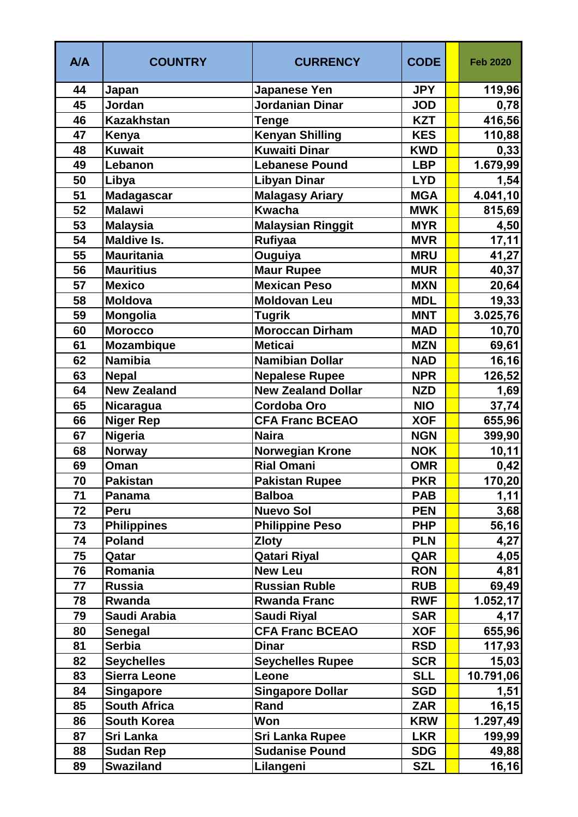| <b>A/A</b> | <b>COUNTRY</b>      | <b>CURRENCY</b>           | <b>CODE</b> | <b>Feb 2020</b> |
|------------|---------------------|---------------------------|-------------|-----------------|
| 44         | Japan               | <b>Japanese Yen</b>       | <b>JPY</b>  | 119,96          |
| 45         | Jordan              | Jordanian Dinar           | <b>JOD</b>  | 0,78            |
| 46         | <b>Kazakhstan</b>   | <b>Tenge</b>              | <b>KZT</b>  | 416,56          |
| 47         | Kenya               | <b>Kenyan Shilling</b>    | <b>KES</b>  | 110,88          |
| 48         | <b>Kuwait</b>       | <b>Kuwaiti Dinar</b>      | <b>KWD</b>  | 0,33            |
| 49         | Lebanon             | <b>Lebanese Pound</b>     | <b>LBP</b>  | 1.679,99        |
| 50         | Libya               | <b>Libyan Dinar</b>       | <b>LYD</b>  | 1,54            |
| 51         | Madagascar          | <b>Malagasy Ariary</b>    | <b>MGA</b>  | 4.041,10        |
| 52         | <b>Malawi</b>       | <b>Kwacha</b>             | <b>MWK</b>  | 815,69          |
| 53         | <b>Malaysia</b>     | <b>Malaysian Ringgit</b>  | <b>MYR</b>  | 4,50            |
| 54         | <b>Maldive Is.</b>  | Rufiyaa                   | <b>MVR</b>  | 17,11           |
| 55         | <b>Mauritania</b>   | Ouguiya                   | <b>MRU</b>  | 41,27           |
| 56         | <b>Mauritius</b>    | <b>Maur Rupee</b>         | <b>MUR</b>  | 40,37           |
| 57         | <b>Mexico</b>       | <b>Mexican Peso</b>       | <b>MXN</b>  | 20,64           |
| 58         | <b>Moldova</b>      | <b>Moldovan Leu</b>       | <b>MDL</b>  | 19,33           |
| 59         | <b>Mongolia</b>     | <b>Tugrik</b>             | <b>MNT</b>  | 3.025,76        |
| 60         | <b>Morocco</b>      | <b>Moroccan Dirham</b>    | <b>MAD</b>  | 10,70           |
| 61         | <b>Mozambique</b>   | <b>Meticai</b>            | <b>MZN</b>  | 69,61           |
| 62         | <b>Namibia</b>      | <b>Namibian Dollar</b>    | <b>NAD</b>  | 16,16           |
| 63         | <b>Nepal</b>        | <b>Nepalese Rupee</b>     | <b>NPR</b>  | 126,52          |
| 64         | <b>New Zealand</b>  | <b>New Zealand Dollar</b> | <b>NZD</b>  | 1,69            |
| 65         | Nicaragua           | <b>Cordoba Oro</b>        | <b>NIO</b>  | 37,74           |
| 66         | <b>Niger Rep</b>    | <b>CFA Franc BCEAO</b>    | <b>XOF</b>  | 655,96          |
| 67         | Nigeria             | <b>Naira</b>              | <b>NGN</b>  | 399,90          |
| 68         | Norway              | Norwegian Krone           | <b>NOK</b>  | 10,11           |
| 69         | Oman                | <b>Rial Omani</b>         | <b>OMR</b>  | 0,42            |
| 70         | <b>Pakistan</b>     | Pakistan Rupee            | <b>PKR</b>  | 170,20          |
| 71         | Panama              | <b>Balboa</b>             | <b>PAB</b>  | 1,11            |
| 72         | Peru                | <b>Nuevo Sol</b>          | <b>PEN</b>  | 3,68            |
| 73         | <b>Philippines</b>  | <b>Philippine Peso</b>    | <b>PHP</b>  | 56,16           |
| 74         | <b>Poland</b>       | <b>Zloty</b>              | <b>PLN</b>  | 4,27            |
| 75         | Qatar               | <b>Qatari Riyal</b>       | QAR         | 4,05            |
| 76         | Romania             | <b>New Leu</b>            | <b>RON</b>  | 4,81            |
| 77         | <b>Russia</b>       | <b>Russian Ruble</b>      | <b>RUB</b>  | 69,49           |
| 78         | Rwanda              | <b>Rwanda Franc</b>       | <b>RWF</b>  | 1.052, 17       |
| 79         | Saudi Arabia        | <b>Saudi Riyal</b>        | <b>SAR</b>  | 4,17            |
| 80         | <b>Senegal</b>      | <b>CFA Franc BCEAO</b>    | <b>XOF</b>  | 655,96          |
| 81         | <b>Serbia</b>       | <b>Dinar</b>              | <b>RSD</b>  | 117,93          |
| 82         | <b>Seychelles</b>   | <b>Seychelles Rupee</b>   | <b>SCR</b>  | 15,03           |
| 83         | <b>Sierra Leone</b> | Leone                     | <b>SLL</b>  | 10.791,06       |
| 84         | <b>Singapore</b>    | <b>Singapore Dollar</b>   | <b>SGD</b>  | 1,51            |
| 85         | <b>South Africa</b> | Rand                      | <b>ZAR</b>  | 16, 15          |
| 86         | <b>South Korea</b>  | Won                       | <b>KRW</b>  | 1.297,49        |
| 87         | Sri Lanka           | Sri Lanka Rupee           | <b>LKR</b>  | 199,99          |
| 88         | <b>Sudan Rep</b>    | <b>Sudanise Pound</b>     | <b>SDG</b>  | 49,88           |
| 89         | <b>Swaziland</b>    | Lilangeni                 | <b>SZL</b>  | 16,16           |